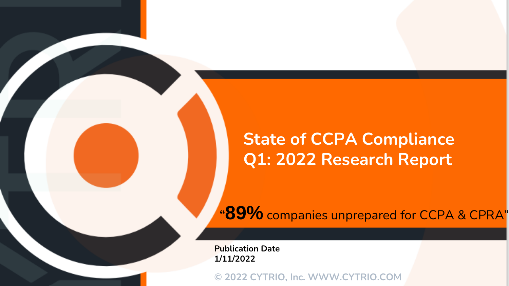# **State of CCPA Compliance Q1: 2022 Research Report**

**"89%** companies unprepared for CCPA & CPRA"

**Publication Date 1/11/2022**

**© 2022 CYTRIO, Inc. WWW.CYTRIO.COM**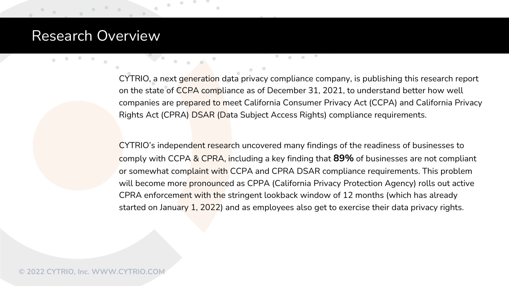### Research Overview

CYTRIO, a next generation data privacy compliance company, is publishing this research report on the state of CCPA compliance as of December 31, 2021, to understand better how well companies are prepared to meet California Consumer Privacy Act (CCPA) and California Privacy Rights Act (CPRA) DSAR (Data Subject Access Rights) compliance requirements.

CYTRIO's independent research uncovered many findings of the readiness of businesses to comply with CCPA & CPRA, including a key finding that **89%** of businesses are not compliant or somewhat complaint with CCPA and CPRA DSAR compliance requirements. This problem will become more pronounced as CPPA (California Privacy Protection Agency) rolls out active CPRA enforcement with the stringent lookback window of 12 months (which has already started on January 1, 2022) and as employees also get to exercise their data privacy rights.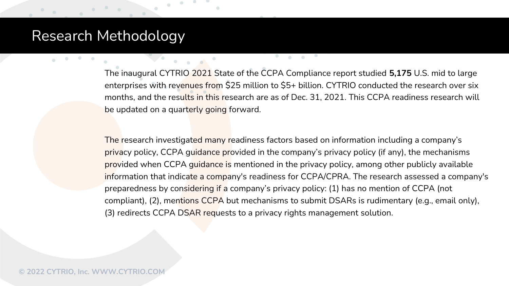## Research Methodology

The inaugural CYTRIO 2021 State of the CCPA Compliance report studied **5,175** U.S. mid to large enterprises with revenues from \$25 million to \$5+ billion. CYTRIO conducted the research over six months, and the results in this research are as of Dec. 31, 2021. This CCPA readiness research will be updated on a quarterly going forward.

The research investigated many readiness factors based on information including a company's privacy policy, CCPA guidance provided in the company's privacy policy (if any), the mechanisms provided when CCPA guidance is mentioned in the privacy policy, among other publicly available information that indicate a company's readiness for CCPA/CPRA. The research assessed a company's preparedness by considering if a company's privacy policy: (1) has no mention of CCPA (not compliant), (2), mentions CCPA but mechanisms to submit DSARs is rudimentary (e.g., email only), (3) redirects CCPA DSAR requests to a privacy rights management solution.

 $\odot$  2022 CYTRIO, Inc. WWW.CYTRIO.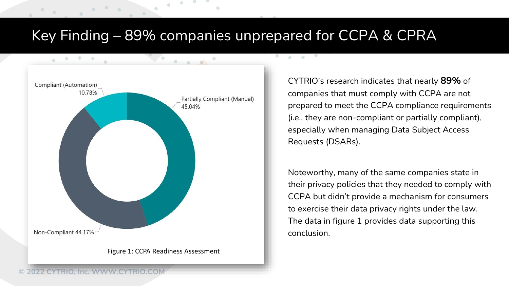# Key Finding – 89% companies unprepared for CCPA & CPRA

**CONTRACTOR** 



CYTRIO's research indicates that nearly **89%** of companies that must comply with CCPA are not prepared to meet the CCPA compliance requirements (i.e., they are non-compliant or partially compliant), especially when managing Data Subject Access Requests (DSARs).

Noteworthy, many of the same companies state in their privacy policies that they needed to comply with CCPA but didn't provide a mechanism for consumers to exercise their data privacy rights under the law. The data in figure 1 provides data supporting this conclusion.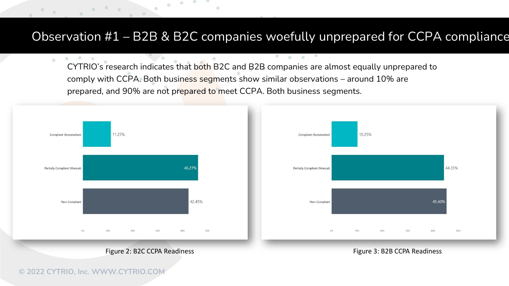#### Observation #1 – B2B & B2C companies woefully unprepared for CCPA compliance

 $\bullet$ 

 $\mathbf{a}$  and  $\mathbf{a}$ 

CYTRIO's research indicates that both B2C and B2B companies are almost equally unprepared to comply with CCPA. Both business segments show similar observations – around 10% are prepared, and 90% are not prepared to meet CCPA. Both business segments.



 $\alpha$  .

 $\bullet \qquad \bullet$ 

 $\bullet$ 

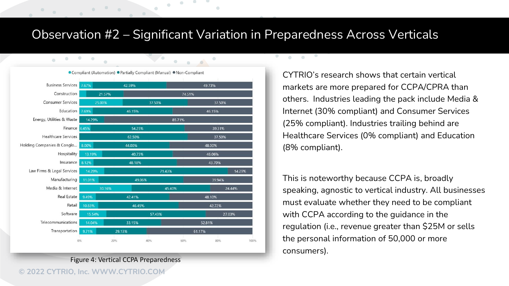#### Observation #2 – Significant Variation in Preparedness Across Verticals

 $\bullet$ 

 $\mathbf{a}$  and  $\mathbf{a}$ 



Figure 4: Vertical CCPA Preparedness

**© 2022 CYTRIO, Inc. WWW.CYTRIO.COM**

CYTRIO's research shows that certain vertical markets are more prepared for CCPA/CPRA than others. Industries leading the pack include Media & Internet (30% compliant) and Consumer Services (25% compliant). Industries trailing behind are Healthcare Services (0% compliant) and Education (8% compliant).

This is noteworthy because CCPA is, broadly speaking, agnostic to vertical industry. All businesses must evaluate whether they need to be compliant with CCPA according to the guidance in the regulation (i.e., revenue greater than \$25M or sells the personal information of 50,000 or more consumers).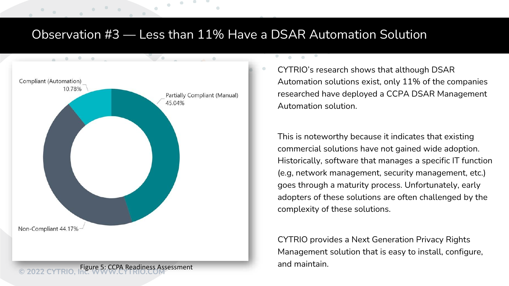### Observation #3 –– Less than 11% Have a DSAR Automation Solution

 $\mathbf{a}$  and  $\mathbf{a}$ 



CYTRIO's research shows that although DSAR Automation solutions exist, only 11% of the companies researched have deployed a CCPA DSAR Management Automation solution.

This is noteworthy because it indicates that existing commercial solutions have not gained wide adoption. Historically, software that manages a specific IT function (e.g, network management, security management, etc.) goes through a maturity process. Unfortunately, early adopters of these solutions are often challenged by the complexity of these solutions.

CYTRIO provides a Next Generation Privacy Rights Management solution that is easy to install, configure,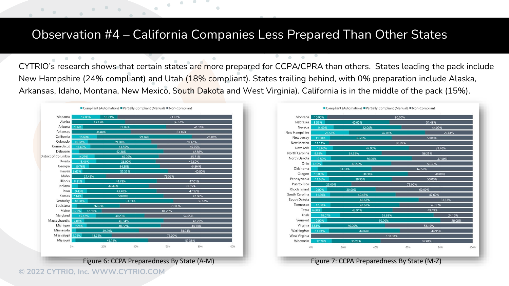#### Observation #4 – California Companies Less Prepared Than Other States

CYTRIO's research shows that certain states are more prepared for CCPA/CPRA than others. States leading the pack include New Hampshire (24% compliant) and Utah (18% compliant). States trailing behind, with 0% preparation include Alaska, Arkansas, Idaho, Montana, New Mexico, South Dakota and West Virginia). California is in the middle of the pack (15%).

 $\bullet$ 

| Alabama              | 17.86% | 10.71% |        | 71.43%     |        |
|----------------------|--------|--------|--------|------------|--------|
| Alaska               | 33.33% |        |        | 66.67%     |        |
| Arizona              | 7.06%  | 51.76% |        | 41.18%     |        |
| Arkansas             | 36.84% |        |        | 63.16%     |        |
| California           | 15.60% |        | 59.34% |            | 25.06% |
| Colorado             | 10.08% | 39.50% |        | 50.42%     |        |
| Connecticut          | 11.69% | 41.56% |        | 46.75%     |        |
| Delaware             |        | 52.38% |        | 42.86%     |        |
| District of Columbia | 14.29% | 40.00% |        | 45.71%     |        |
| Florida              | 15.41% | 36.99% |        | 47.60%     |        |
| Georgia              | 10.76% | 44.30% |        | 44.94%     |        |
| Hawaii 6.67%         |        | 53.33% |        | 40.00%     |        |
| Idaho                | 21.43% |        |        | 78.57%     |        |
| Illinois             | 8.21%  | 44.78% |        | 47.01%     |        |
| Indiana              |        | 44.44% |        | 51.85%     |        |
| lowa                 | 9.43%  | 43.40% |        | 47.17%     |        |
| Kansas               | 7.14%  | 50.00% |        | 42.86%     |        |
| Kentucky             | 10.00% | 53.33% |        | 36.67%     |        |
| Louisiana            |        | 26.67% |        | 70.00%     |        |
| Maine 6.25%          | 12.50% |        | 81.25% |            |        |
| Maryland             | 15.12% | 30.23% |        | 54.65%     |        |
| Massachusetts        | 7.86%  | 49.34% |        | 42.79%     |        |
| Michigan             | 9.24%  | 46.22% |        | 44.54%     |        |
| Minnesota            | 39.29% |        |        | 58.04%     |        |
| Mississippi 6.25%    |        | 18.75% |        | 75.00%     |        |
| Missouri             |        | 45.24% |        | 52.38%     |        |
| 0%                   |        | 20%    | 40%    | 60%<br>80% | 100%   |

**© 2022 CYTRIO, Inc. WWW.CYTRIO.COM**



Figure 6: CCPA Preparedness By State (A-M) Figure 7: CCPA Preparedness By State (M-Z)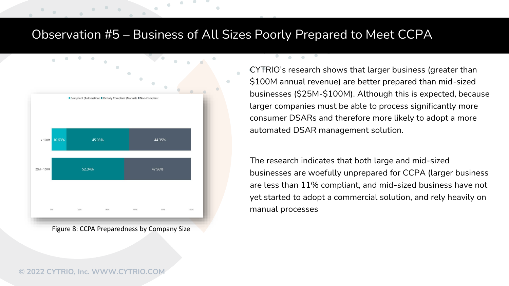#### Observation #5 – Business of All Sizes Poorly Prepared to Meet CCPA

 $\bullet$ 

 $\mathbf{a} = \mathbf{a} \cdot \mathbf{a}$ 



Figure 8: CCPA Preparedness by Company Size

CYTRIO's research shows that larger business (greater than \$100M annual revenue) are better prepared than mid-sized businesses (\$25M-\$100M). Although this is expected, because larger companies must be able to process significantly more consumer DSARs and therefore more likely to adopt a more automated DSAR management solution.

The research indicates that both large and mid-sized businesses are woefully unprepared for CCPA (larger business are less than 11% compliant, and mid-sized business have not yet started to adopt a commercial solution, and rely heavily on manual processes